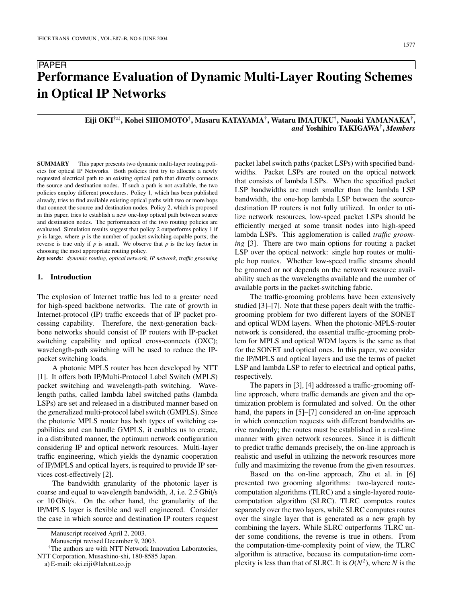# PAPER **Performance Evaluation of Dynamic Multi-Layer Routing Schemes in Optical IP Networks**

# **Eiji OKI**†a)**, Kohei SHIOMOTO**†**, Masaru KATAYAMA**†**, Wataru IMAJUKU**†**, Naoaki YAMANAKA**†**,** *and* **Yoshihiro TAKIGAWA**†**,** *Members*

**SUMMARY** This paper presents two dynamic multi-layer routing policies for optical IP Networks. Both policies first try to allocate a newly requested electrical path to an existing optical path that directly connects the source and destination nodes. If such a path is not available, the two policies employ different procedures. Policy 1, which has been published already, tries to find available existing optical paths with two or more hops that connect the source and destination nodes. Policy 2, which is proposed in this paper, tries to establish a new one-hop optical path between source and destination nodes. The performances of the two routing policies are evaluated. Simulation results suggest that policy 2 outperforms policy 1 if *p* is large, where *p* is the number of packet-switching-capable ports; the reverse is true only if *p* is small. We observe that *p* is the key factor in choosing the most appropriate routing policy.

*key words: dynamic routing, optical network, IP network, tra*ffi*c grooming*

## **1. Introduction**

The explosion of Internet traffic has led to a greater need for high-speed backbone networks. The rate of growth in Internet-protocol (IP) traffic exceeds that of IP packet processing capability. Therefore, the next-generation backbone networks should consist of IP routers with IP-packet switching capability and optical cross-connects (OXC); wavelength-path switching will be used to reduce the IPpacket switching loads.

A photonic MPLS router has been developed by NTT [1]. It offers both IP/Multi-Protocol Label Switch (MPLS) packet switching and wavelength-path switching. Wavelength paths, called lambda label switched paths (lambda LSPs) are set and released in a distributed manner based on the generalized multi-protocol label switch (GMPLS). Since the photonic MPLS router has both types of switching capabilities and can handle GMPLS, it enables us to create, in a distributed manner, the optimum network configuration considering IP and optical network resources. Multi-layer traffic engineering, which yields the dynamic cooperation of IP/MPLS and optical layers, is required to provide IP services cost-effectively [2].

The bandwidth granularity of the photonic layer is coarse and equal to wavelength bandwidth,  $\lambda$ , i.e. 2.5 Gbit/s or 10 Gbit/s. On the other hand, the granularity of the IP/MPLS layer is flexible and well engineered. Consider the case in which source and destination IP routers request

†The authors are with NTT Network Innovation Laboratories, NTT Corporation, Musashino-shi, 180-8585 Japan.

a) E-mail: oki.eiji@lab.ntt.co.jp

packet label switch paths (packet LSPs) with specified bandwidths. Packet LSPs are routed on the optical network that consists of lambda LSPs. When the specified packet LSP bandwidths are much smaller than the lambda LSP bandwidth, the one-hop lambda LSP between the sourcedestination IP routers is not fully utilized. In order to utilize network resources, low-speed packet LSPs should be efficiently merged at some transit nodes into high-speed lambda LSPs. This agglomeration is called *tra*ffi*c grooming* [3]. There are two main options for routing a packet LSP over the optical network: single hop routes or multiple hop routes. Whether low-speed traffic streams should be groomed or not depends on the network resource availability such as the wavelengths available and the number of available ports in the packet-switching fabric.

The traffic-grooming problems have been extensively studied [3]–[7]. Note that these papers dealt with the trafficgrooming problem for two different layers of the SONET and optical WDM layers. When the photonic-MPLS-router network is considered, the essential traffic-grooming problem for MPLS and optical WDM layers is the same as that for the SONET and optical ones. In this paper, we consider the IP/MPLS and optical layers and use the terms of packet LSP and lambda LSP to refer to electrical and optical paths, respectively.

The papers in [3], [4] addressed a traffic-grooming offline approach, where traffic demands are given and the optimization problem is formulated and solved. On the other hand, the papers in [5]–[7] considered an on-line approach in which connection requests with different bandwidths arrive randomly; the routes must be established in a real-time manner with given network resources. Since it is difficult to predict traffic demands precisely, the on-line approach is realistic and useful in utilizing the network resources more fully and maximizing the revenue from the given resources.

Based on the on-line approach, Zhu et al. in [6] presented two grooming algorithms: two-layered routecomputation algorithms (TLRC) and a single-layered routecomputation algorithm (SLRC). TLRC computes routes separately over the two layers, while SLRC computes routes over the single layer that is generated as a new graph by combining the layers. While SLRC outperforms TLRC under some conditions, the reverse is true in others. From the computation-time-complexity point of view, the TLRC algorithm is attractive, because its computation-time complexity is less than that of SLRC. It is  $O(N^2)$ , where *N* is the

Manuscript received April 2, 2003.

Manuscript revised December 9, 2003.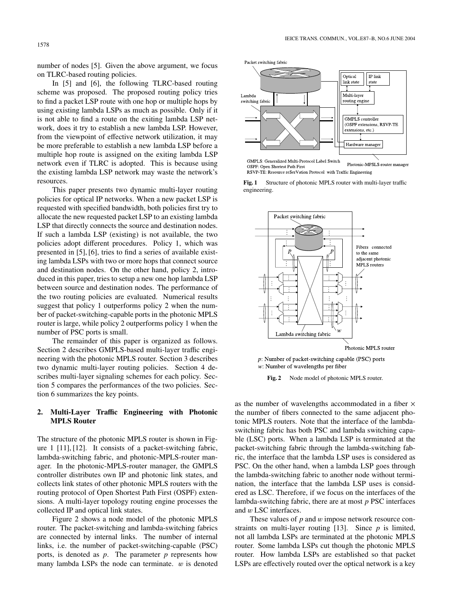number of nodes [5]. Given the above argument, we focus on TLRC-based routing policies.

In [5] and [6], the following TLRC-based routing scheme was proposed. The proposed routing policy tries to find a packet LSP route with one hop or multiple hops by using existing lambda LSPs as much as possible. Only if it is not able to find a route on the exiting lambda LSP network, does it try to establish a new lambda LSP. However, from the viewpoint of effective network utilization, it may be more preferable to establish a new lambda LSP before a multiple hop route is assigned on the exiting lambda LSP network even if TLRC is adopted. This is because using the existing lambda LSP network may waste the network's resources.

This paper presents two dynamic multi-layer routing policies for optical IP networks. When a new packet LSP is requested with specified bandwidth, both policies first try to allocate the new requested packet LSP to an existing lambda LSP that directly connects the source and destination nodes. If such a lambda LSP (existing) is not available, the two policies adopt different procedures. Policy 1, which was presented in [5], [6], tries to find a series of available existing lambda LSPs with two or more hops that connect source and destination nodes. On the other hand, policy 2, introduced in this paper, tries to setup a new one hop lambda LSP between source and destination nodes. The performance of the two routing policies are evaluated. Numerical results suggest that policy 1 outperforms policy 2 when the number of packet-switching-capable ports in the photonic MPLS router is large, while policy 2 outperforms policy 1 when the number of PSC ports is small.

The remainder of this paper is organized as follows. Section 2 describes GMPLS-based multi-layer traffic engineering with the photonic MPLS router. Section 3 describes two dynamic multi-layer routing policies. Section 4 describes multi-layer signaling schemes for each policy. Section 5 compares the performances of the two policies. Section 6 summarizes the key points.

## **2. Multi-Layer Tra**ffi**c Engineering with Photonic MPLS Router**

The structure of the photonic MPLS router is shown in Figure 1 [11], [12]. It consists of a packet-switching fabric, lambda-switching fabric, and photonic-MPLS-router manager. In the photonic-MPLS-router manager, the GMPLS controller distributes own IP and photonic link states, and collects link states of other photonic MPLS routers with the routing protocol of Open Shortest Path First (OSPF) extensions. A multi-layer topology routing engine processes the collected IP and optical link states.

Figure 2 shows a node model of the photonic MPLS router. The packet-switching and lambda-switching fabrics are connected by internal links. The number of internal links, i.e. the number of packet-switching-capable (PSC) ports, is denoted as *p*. The parameter *p* represents how many lambda LSPs the node can terminate.  $w$  is denoted



Photonic-MPSLS-router manager OSPF: Open Shortest Path First RSVP TE: Resource reSerVation Protocol with Traffic Engineering





 $p$ : Number of packet-switching capable (PSC) ports  $w$ : Number of wavelengths per fiber

**Fig. 2** Node model of photonic MPLS router.

as the number of wavelengths accommodated in a fiber  $\times$ the number of fibers connected to the same adjacent photonic MPLS routers. Note that the interface of the lambdaswitching fabric has both PSC and lambda switching capable (LSC) ports. When a lambda LSP is terminated at the packet-switching fabric through the lambda-switching fabric, the interface that the lambda LSP uses is considered as PSC. On the other hand, when a lambda LSP goes through the lambda-switching fabric to another node without termination, the interface that the lambda LSP uses is considered as LSC. Therefore, if we focus on the interfaces of the lambda-switching fabric, there are at most *p* PSC interfaces and w LSC interfaces.

These values of *p* and *w* impose network resource constraints on multi-layer routing [13]. Since *p* is limited, not all lambda LSPs are terminated at the photonic MPLS router. Some lambda LSPs cut though the photonic MPLS router. How lambda LSPs are established so that packet LSPs are effectively routed over the optical network is a key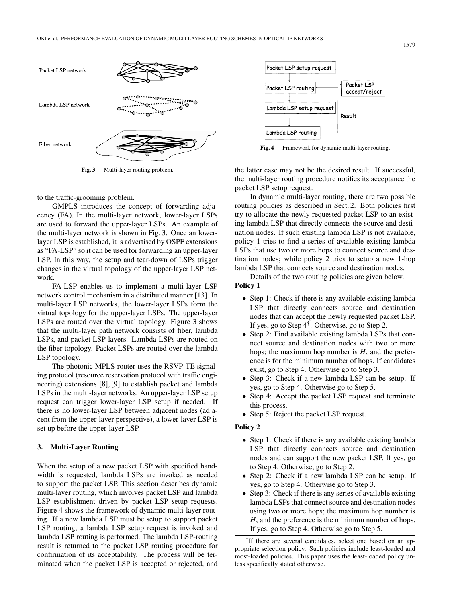

**Fig. 3** Multi-layer routing problem.

to the traffic-grooming problem.

GMPLS introduces the concept of forwarding adjacency (FA). In the multi-layer network, lower-layer LSPs are used to forward the upper-layer LSPs. An example of the multi-layer network is shown in Fig. 3. Once an lowerlayer LSP is established, it is advertised by OSPF extensions as "FA-LSP" so it can be used for forwarding an upper-layer LSP. In this way, the setup and tear-down of LSPs trigger changes in the virtual topology of the upper-layer LSP network.

FA-LSP enables us to implement a multi-layer LSP network control mechanism in a distributed manner [13]. In multi-layer LSP networks, the lower-layer LSPs form the virtual topology for the upper-layer LSPs. The upper-layer LSPs are routed over the virtual topology. Figure 3 shows that the multi-layer path network consists of fiber, lambda LSPs, and packet LSP layers. Lambda LSPs are routed on the fiber topology. Packet LSPs are routed over the lambda LSP topology.

The photonic MPLS router uses the RSVP-TE signaling protocol (resource reservation protocol with traffic engineering) extensions [8], [9] to establish packet and lambda LSPs in the multi-layer networks. An upper-layer LSP setup request can trigger lower-layer LSP setup if needed. If there is no lower-layer LSP between adjacent nodes (adjacent from the upper-layer perspective), a lower-layer LSP is set up before the upper-layer LSP.

#### **3. Multi-Layer Routing**

When the setup of a new packet LSP with specified bandwidth is requested, lambda LSPs are invoked as needed to support the packet LSP. This section describes dynamic multi-layer routing, which involves packet LSP and lambda LSP establishment driven by packet LSP setup requests. Figure 4 shows the framework of dynamic multi-layer routing. If a new lambda LSP must be setup to support packet LSP routing, a lambda LSP setup request is invoked and lambda LSP routing is performed. The lambda LSP-routing result is returned to the packet LSP routing procedure for confirmation of its acceptability. The process will be terminated when the packet LSP is accepted or rejected, and



**Fig. 4** Framework for dynamic multi-layer routing.

the latter case may not be the desired result. If successful, the multi-layer routing procedure notifies its acceptance the packet LSP setup request.

In dynamic multi-layer routing, there are two possible routing policies as described in Sect. 2. Both policies first try to allocate the newly requested packet LSP to an existing lambda LSP that directly connects the source and destination nodes. If such existing lambda LSP is not available, policy 1 tries to find a series of available existing lambda LSPs that use two or more hops to connect source and destination nodes; while policy 2 tries to setup a new 1-hop lambda LSP that connects source and destination nodes.

Details of the two routing policies are given below.

# **Policy 1**

- Step 1: Check if there is any available existing lambda LSP that directly connects source and destination nodes that can accept the newly requested packet LSP. If yes, go to Step  $4^{\dagger}$ . Otherwise, go to Step 2.
- Step 2: Find available existing lambda LSPs that connect source and destination nodes with two or more hops; the maximum hop number is *H*, and the preference is for the minimum number of hops. If candidates exist, go to Step 4. Otherwise go to Step 3.
- Step 3: Check if a new lambda LSP can be setup. If yes, go to Step 4. Otherwise go to Step 5.
- Step 4: Accept the packet LSP request and terminate this process.
- Step 5: Reject the packet LSP request.

## **Policy 2**

- Step 1: Check if there is any available existing lambda LSP that directly connects source and destination nodes and can support the new packet LSP. If yes, go to Step 4. Otherwise, go to Step 2.
- Step 2: Check if a new lambda LSP can be setup. If yes, go to Step 4. Otherwise go to Step 3.
- Step 3: Check if there is any series of available existing lambda LSPs that connect source and destination nodes using two or more hops; the maximum hop number is *H*, and the preference is the minimum number of hops. If yes, go to Step 4. Otherwise go to Step 5.

<sup>†</sup>If there are several candidates, select one based on an appropriate selection policy. Such policies include least-loaded and most-loaded policies. This paper uses the least-loaded policy unless specifically stated otherwise.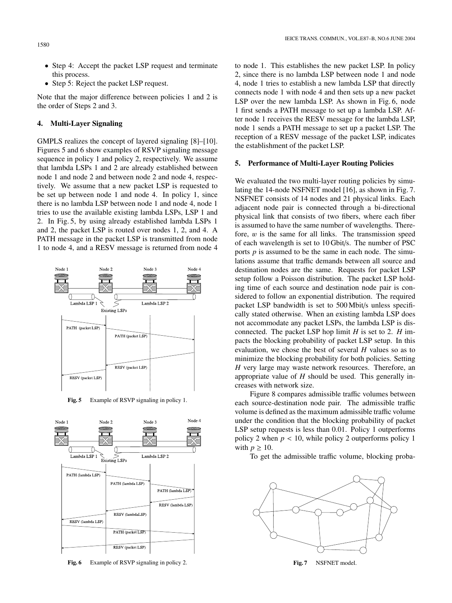1580

- Step 4: Accept the packet LSP request and terminate this process.
- Step 5: Reject the packet LSP request.

Note that the major difference between policies 1 and 2 is the order of Steps 2 and 3.

## **4. Multi-Layer Signaling**

GMPLS realizes the concept of layered signaling [8]–[10]. Figures 5 and 6 show examples of RSVP signaling message sequence in policy 1 and policy 2, respectively. We assume that lambda LSPs 1 and 2 are already established between node 1 and node 2 and between node 2 and node 4, respectively. We assume that a new packet LSP is requested to be set up between node 1 and node 4. In policy 1, since there is no lambda LSP between node 1 and node 4, node 1 tries to use the available existing lambda LSPs, LSP 1 and 2. In Fig. 5, by using already established lambda LSPs 1 and 2, the packet LSP is routed over nodes 1, 2, and 4. A PATH message in the packet LSP is transmitted from node 1 to node 4, and a RESV message is returned from node 4



**Fig. 5** Example of RSVP signaling in policy 1.



Fig. 6 Example of RSVP signaling in policy 2.

to node 1. This establishes the new packet LSP. In policy 2, since there is no lambda LSP between node 1 and node 4, node 1 tries to establish a new lambda LSP that directly connects node 1 with node 4 and then sets up a new packet LSP over the new lambda LSP. As shown in Fig. 6, node 1 first sends a PATH message to set up a lambda LSP. After node 1 receives the RESV message for the lambda LSP, node 1 sends a PATH message to set up a packet LSP. The reception of a RESV message of the packet LSP, indicates the establishment of the packet LSP.

### **5. Performance of Multi-Layer Routing Policies**

We evaluated the two multi-layer routing policies by simulating the 14-node NSFNET model [16], as shown in Fig. 7. NSFNET consists of 14 nodes and 21 physical links. Each adjacent node pair is connected through a bi-directional physical link that consists of two fibers, where each fiber is assumed to have the same number of wavelengths. Therefore,  $w$  is the same for all links. The transmission speed of each wavelength is set to 10 Gbit/s. The number of PSC ports  $p$  is assumed to be the same in each node. The simulations assume that traffic demands between all source and destination nodes are the same. Requests for packet LSP setup follow a Poisson distribution. The packet LSP holding time of each source and destination node pair is considered to follow an exponential distribution. The required packet LSP bandwidth is set to 500 Mbit/s unless specifically stated otherwise. When an existing lambda LSP does not accommodate any packet LSPs, the lambda LSP is disconnected. The packet LSP hop limit *H* is set to 2. *H* impacts the blocking probability of packet LSP setup. In this evaluation, we chose the best of several *H* values so as to minimize the blocking probability for both policies. Setting *H* very large may waste network resources. Therefore, an appropriate value of *H* should be used. This generally increases with network size.

Figure 8 compares admissible traffic volumes between each source-destination node pair. The admissible traffic volume is defined as the maximum admissible traffic volume under the condition that the blocking probability of packet LSP setup requests is less than 0.01. Policy 1 outperforms policy 2 when  $p < 10$ , while policy 2 outperforms policy 1 with  $p \geq 10$ .

To get the admissible traffic volume, blocking proba-



**Fig. 7** NSFNET model.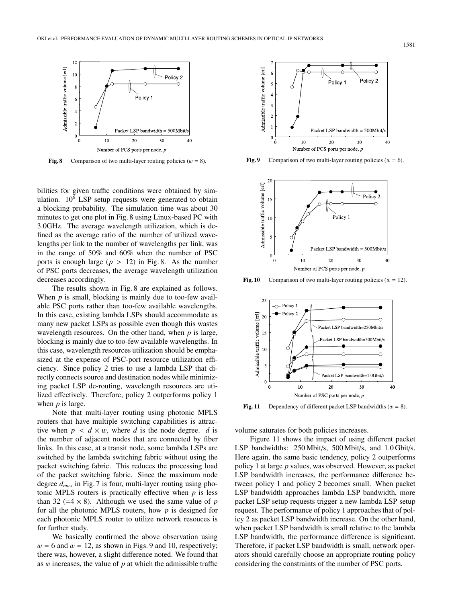

**Fig. 8** Comparison of two multi-layer routing policies  $(w = 8)$ .

bilities for given traffic conditions were obtained by simulation.  $10^6$  LSP setup requests were generated to obtain a blocking probability. The simulation time was about 30 minutes to get one plot in Fig. 8 using Linux-based PC with 3.0GHz. The average wavelength utilization, which is defined as the average ratio of the number of utilized wavelengths per link to the number of wavelengths per link, was in the range of 50% and 60% when the number of PSC ports is enough large  $(p > 12)$  in Fig. 8. As the number of PSC ports decreases, the average wavelength utilization decreases accordingly.

The results shown in Fig. 8 are explained as follows. When *p* is small, blocking is mainly due to too-few available PSC ports rather than too-few available wavelengths. In this case, existing lambda LSPs should accommodate as many new packet LSPs as possible even though this wastes wavelength resources. On the other hand, when *p* is large, blocking is mainly due to too-few available wavelengths. In this case, wavelength resources utilization should be emphasized at the expense of PSC-port resource utilization efficiency. Since policy 2 tries to use a lambda LSP that directly connects source and destination nodes while minimizing packet LSP de-routing, wavelength resources are utilized effectively. Therefore, policy 2 outperforms policy 1 when *p* is large.

Note that multi-layer routing using photonic MPLS routers that have multiple switching capabilities is attractive when  $p \lt d \times w$ , where *d* is the node degree. *d* is the number of adjacent nodes that are connected by fiber links. In this case, at a transit node, some lambda LSPs are switched by the lambda switching fabric without using the packet switching fabric. This reduces the processing load of the packet switching fabric. Since the maximum node degree *dmax* in Fig. 7 is four, multi-layer routing using photonic MPLS routers is practically effective when *p* is less than 32 ( $=4 \times 8$ ). Although we used the same value of *p* for all the photonic MPLS routers, how *p* is designed for each photonic MPLS router to utilize network resouces is for further study.

We basically confirmed the above observation using  $w = 6$  and  $w = 12$ , as shown in Figs. 9 and 10, respectively; there was, however, a slight difference noted. We found that as w increases, the value of *p* at which the admissible traffic



**Fig. 9** Comparison of two multi-layer routing policies  $(w = 6)$ .



**Fig. 10** Comparison of two multi-layer routing policies  $(w = 12)$ .



**Fig. 11** Dependency of different packet LSP bandwidths  $(w = 8)$ .

volume saturates for both policies increases.

Figure 11 shows the impact of using different packet LSP bandwidths: 250 Mbit/s, 500 Mbit/s, and 1.0 Gbit/s. Here again, the same basic tendency, policy 2 outperforms policy 1 at large *p* values, was observed. However, as packet LSP bandwidth increases, the performance difference between policy 1 and policy 2 becomes small. When packet LSP bandwidth approaches lambda LSP bandwidth, more packet LSP setup requests trigger a new lambda LSP setup request. The performance of policy 1 approaches that of policy 2 as packet LSP bandwidth increase. On the other hand, when packet LSP bandwidth is small relative to the lambda LSP bandwidth, the performance difference is significant. Therefore, if packet LSP bandwidth is small, network operators should carefully choose an appropriate routing policy considering the constraints of the number of PSC ports.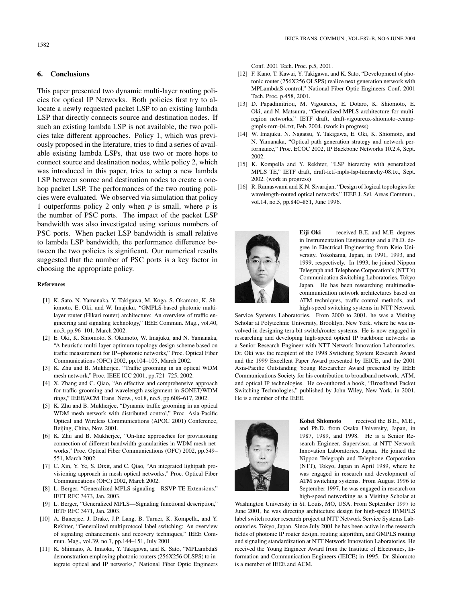### **6. Conclusions**

This paper presented two dynamic multi-layer routing policies for optical IP Networks. Both policies first try to allocate a newly requested packet LSP to an existing lambda LSP that directly connects source and destination nodes. If such an existing lambda LSP is not available, the two policies take different approaches. Policy 1, which was previously proposed in the literature, tries to find a series of available existing lambda LSPs, that use two or more hops to connect source and destination nodes, while policy 2, which was introduced in this paper, tries to setup a new lambda LSP between source and destination nodes to create a onehop packet LSP. The performances of the two routing policies were evaluated. We observed via simulation that policy 1 outperforms policy 2 only when *p* is small, where *p* is the number of PSC ports. The impact of the packet LSP bandwidth was also investigated using various numbers of PSC ports. When packet LSP bandwidth is small relative to lambda LSP bandwidth, the performance difference between the two policies is significant. Our numerical results suggested that the number of PSC ports is a key factor in choosing the appropriate policy.

#### **References**

- [1] K. Sato, N. Yamanaka, Y. Takigawa, M. Koga, S. Okamoto, K. Shiomoto, E. Oki, and W. Imajuku, "GMPLS-based photonic multilayer router (Hikari router) architecture: An overview of traffic engineering and signaling technology," IEEE Commun. Mag., vol.40, no.3, pp.96–101, March 2002.
- [2] E. Oki, K. Shiomoto, S. Okamoto, W. Imajuku, and N. Yamanaka, "A heuristic multi-layer optimum topology design scheme based on traffic measurement for IP+photonic networks," Proc. Optical Fiber Communications (OFC) 2002, pp.104–105, March 2002.
- [3] K. Zhu and B. Mukherjee, "Traffic grooming in an optical WDM mesh network," Proc. IEEE ICC 2001, pp.721–725, 2002.
- [4] X. Zhang and C. Qiao, "An effective and comprehensive approach for traffic grooming and wavelength assignment in SONET/WDM rings," IEEE/ACM Trans. Netw., vol.8, no.5, pp.608–617, 2002.
- [5] K. Zhu and B. Mukherjee, "Dynamic traffic grooming in an optical WDM mesh network with distributed control," Proc. Asia-Pacific Optical and Wireless Communications (APOC 2001) Conference, Beijing, China, Nov. 2001.
- [6] K. Zhu and B. Mukherjee, "On-line approaches for provisioning connection of different bandwidth granularities in WDM mesh networks," Proc. Optical Fiber Communications (OFC) 2002, pp.549– 551, March 2002.
- [7] C. Xin, Y. Ye, S. Dixit, and C. Qiao, "An integrated lightpath provisioning approach in mesh optical networks," Proc. Optical Fiber Communications (OFC) 2002, March 2002.
- [8] L. Berger, "Generalized MPLS signaling—RSVP-TE Extensions," IEFT RFC 3473, Jan. 2003.
- [9] L. Berger, "Generalized MPLS—Signaling functional description," IETF RFC 3471, Jan. 2003.
- [10] A. Banerjee, J. Drake, J.P. Lang, B. Turner, K. Kompella, and Y. Rekhter, "Generalized multiprotocol label switching: An overview of signaling enhancements and recovery techniques," IEEE Commun. Mag., vol.39, no.7, pp.144–151, July 2001.
- [11] K. Shimano, A. Imaoka, Y. Takigawa, and K. Sato, "MPLambdaS demonstration employing photonic routers (256X256 OLSPS) to integrate optical and IP networks," National Fiber Optic Engineers

Conf. 2001 Tech. Proc. p.5, 2001.

- [12] F. Kano, T. Kawai, Y. Takigawa, and K. Sato, "Development of photonic router (256X256 OLSPS) realize next generation network with MPLambdaS control," National Fiber Optic Engineers Conf. 2001 Tech. Proc. p.458, 2001.
- [13] D. Papadimitriou, M. Vigoureux, E. Dotaro, K. Shiomoto, E. Oki, and N. Matsuura, "Generalized MPLS architecture for multiregion networks," IETF draft, draft-vigoureux-shiomoto-ccampgmpls-mrn-04.txt, Feb. 2004. (work in progress)
- [14] W. Imajuku, N. Nagatsu, Y. Takigawa, E. Oki, K. Shiomoto, and N. Yamanaka, "Optical path generation strategy and network performance," Proc. ECOC 2002, IP Backbone Networks 10.2.4, Sept. 2002.
- [15] K. Kompella and Y. Rekhter, "LSP hierarchy with generalized MPLS TE," IETF draft, draft-ietf-mpls-lsp-hierarchy-08.txt, Sept. 2002. (work in progress)
- [16] R. Ramaswami and K.N. Sivarajan, "Design of logical topologies for wavelength-routed optical networks," IEEE J. Sel. Areas Commun., vol.14, no.5, pp.840–851, June 1996.



**Eiji Oki** received B.E. and M.E. degrees in Instrumentation Engineering and a Ph.D. degree in Electrical Engineering from Keio University, Yokohama, Japan, in 1991, 1993, and 1999, respectively. In 1993, he joined Nippon Telegraph and Telephone Corporation's (NTT's) Communication Switching Laboratories, Tokyo Japan. He has been researching multimediacommunication network architectures based on ATM techniques, traffic-control methods, and high-speed switching systems in NTT Network

Service Systems Laboratories. From 2000 to 2001, he was a Visiting Scholar at Polytechnic University, Brooklyn, New York, where he was involved in designing tera-bit switch/router systems. He is now engaged in researching and developing high-speed optical IP backbone networks as a Senior Research Engineer with NTT Network Innovation Laboratories. Dr. Oki was the recipient of the 1998 Switching System Research Award and the 1999 Excellent Paper Award presented by IEICE, and the 2001 Asia-Pacific Outstanding Young Researcher Award presented by IEEE Communications Society for his contribution to broadband network, ATM, and optical IP technologies. He co-authored a book, "Broadband Packet Switching Technologies," published by John Wiley, New York, in 2001. He is a member of the IEEE.



**Kohei Shiomoto** received the B.E., M.E., and Ph.D. from Osaka University, Japan, in 1987, 1989, and 1998. He is a Senior Research Engineer, Supervisor, at NTT Network Innovation Laboratories, Japan. He joined the Nippon Telegraph and Telephone Corporation (NTT), Tokyo, Japan in April 1989, where he was engaged in research and development of ATM switching systems. From August 1996 to September 1997, he was engaged in research on high-speed networking as a Visiting Scholar at

Washington University in St. Louis, MO, USA. From September 1997 to June 2001, he was directing architecture design for high-speed IP/MPLS label switch router research project at NTT Network Service Systems Laboratories, Tokyo, Japan. Since July 2001 he has been active in the research fields of photonic IP router design, routing algorithm, and GMPLS routing and signaling standardization at NTT Network Innovation Laboratories. He received the Young Engineer Award from the Institute of Electronics, Information and Communication Engineers (IEICE) in 1995. Dr. Shiomoto is a member of IEEE and ACM.